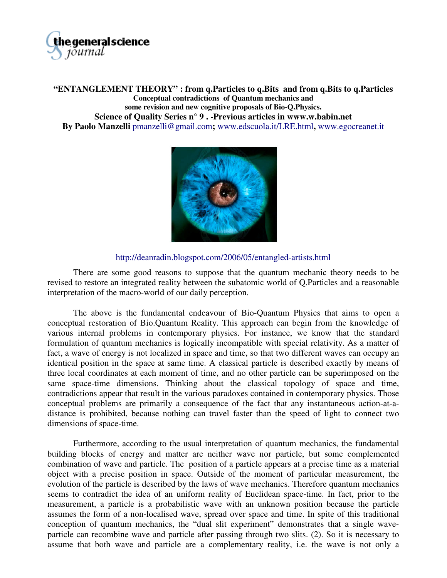

**"ENTANGLEMENT THEORY" : from q.Particles to q.Bits and from q.Bits to q.Particles Conceptual contradictions of Quantum mechanics and some revision and new cognitive proposals of Bio-Q.Physics. Science of Quality Series n° 9 . -Previous articles in w[ww.w.babin.net](http://www.w.babin.net) By Paolo Manzelli** pmanzelli@gmail.com**;** [www.edscuola.it/LRE.html](http://www.edscuola.it/LRE.html)**,** [www.egocreanet.it](http://www.egocreanet.it)



<http://deanradin.blogspot.com/2006/05/entangled-artists.html>

There are some good reasons to suppose that the quantum mechanic theory needs to be revised to restore an integrated reality between the subatomic world of Q.Particles and a reasonable interpretation of the macro-world of our daily perception.

The above is the fundamental endeavour of Bio-Quantum Physics that aims to open a conceptual restoration of Bio.Quantum Reality. This approach can begin from the knowledge of various internal problems in contemporary physics. For instance, we know that the standard formulation of quantum mechanics is logically incompatible with special relativity. As a matter of fact, a wave of energy is not localized in space and time, so that two different waves can occupy an identical position in the space at same time. A classical particle is described exactly by means of three local coordinates at each moment of time, and no other particle can be superimposed on the same space-time dimensions. Thinking about the classical topology of space and time, contradictions appear that result in the various paradoxes contained in contemporary physics. Those conceptual problems are primarily a consequence of the fact that any instantaneous action-at-adistance is prohibited, because nothing can travel faster than the speed of light to connect two dimensions of space-time.

Furthermore, according to the usual interpretation of quantum mechanics, the fundamental building blocks of energy and matter are neither wave nor particle, but some complemented combination of wave and particle. The position of a particle appears at a precise time as a material object with a precise position in space. Outside of the moment of particular measurement, the evolution of the particle is described by the laws of wave mechanics. Therefore quantum mechanics seems to contradict the idea of an uniform reality of Euclidean space-time. In fact, prior to the measurement, a particle is a probabilistic wave with an unknown position because the particle assumes the form of a non-localised wave, spread over space and time. In spite of this traditional conception of quantum mechanics, the "dual slit experiment" demonstrates that a single waveparticle can recombine wave and particle after passing through two slits. (2). So it is necessary to assume that both wave and particle are a complementary reality, i.e. the wave is not only a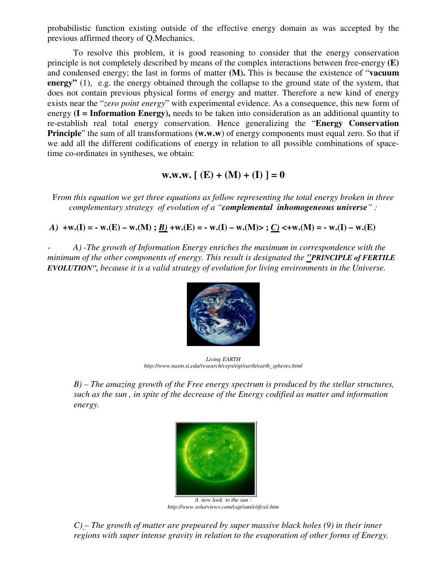probabilistic function existing outside of the effective energy domain as was accepted by the previous affirmed theory of Q.Mechanics.

To resolve this problem, it is good reasoning to consider that the energy conservation principle is not completely described by means of the complex interactions between free-energy **(E)** and condensed energy; the last in forms of matter **(M).** This is because the existence of "**vacuum energy**" (1), e.g. the energy obtained through the collapse to the ground state of the system, that does not contain previous physical forms of energy and matter. Therefore a new kind of energy exists near the "*zero point energy*" with experimental evidence. As a consequence, this new form of energy  $(I = Information Energy)$ , needs to be taken into consideration as an additional quantity to re-establish real total energy conservation. Hence generalizing the "**Energy Conservation Principle**" the sum of all transformations (w.w.w) of energy components must equal zero. So that if we add all the different codifications of energy in relation to all possible combinations of spacetime co-ordinates in syntheses, we obtain:

**w.w.w.**  $[(E) + (M) + (I)] = 0$ 

F*rom this equation we get three equations as follow representing the total energy broken in three complementary strategy of evolution of a "complemental inhomogeneous universe" :*

*A*)  $+w.(I) = -w.(E) - w.(M)$ ;  $\underline{B}$   $+w.(E) = -w.(I) - w.(M)$ ;  $\underline{C}$   $\leq +w.(M) = -w.(I) - w.(E)$ 

- *A) -The growth of Information Energy enriches the maximum in correspondence with the minimum of the other components of energy. This result is designated the "PRINCIPLE of FERTILE EVOLUTION", because it is a valid strategy of evolution for living environments in the Universe.*



*Living EARTH [http://www.nasm.si.edu/research/ceps/etp/earth/earth\\_spheres.html](http://www.nasm.si.edu/research/ceps/etp/earth/earth_spheres.html)*

*B) – The amazing growth of the Free energy spectrum is produced by the stellar structures, such as the sun , in spite of the decrease of the Energy codified as matter and information energy.*



*A new look to the sun : <http://www.solarviews.com/cap/sun/eitfexii.htm>*

*C) – The growth of matter are prepeared by super massive black holes (9) in their inner regions with super intense gravity in relation to the evaporation of other forms of Energy.*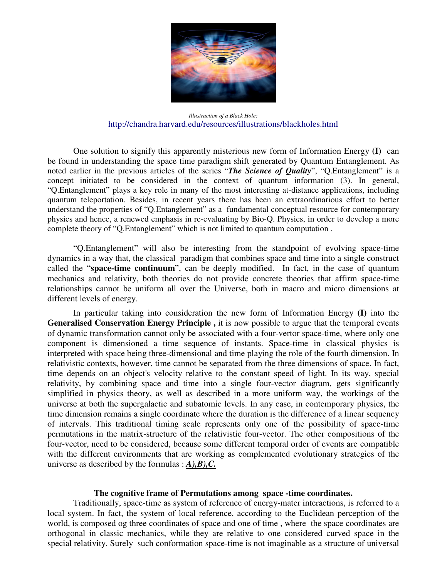

*Illustraction of a Black Hole:* <http://chandra.harvard.edu/resources/illustrations/blackholes.html>

One solution to signify this apparently misterious new form of Information Energy **(I)** can be found in understanding the space time paradigm shift generated by Quantum Entanglement. As noted earlier in the previous articles of the series "*The Science of Quality*", "Q.Entanglement" is a concept initiated to be considered in the context of quantum information (3). In general, "Q.Entanglement" plays a key role in many of the most interesting at-distance applications, including quantum teleportation. Besides, in recent years there has been an extraordinarious effort to better understand the properties of "Q.Entanglement" as a fundamental conceptual resource for contemporary physics and hence, a renewed emphasis in re-evaluating by Bio-Q. Physics, in order to develop a more complete theory of "Q.Entanglement" which is not limited to quantum computation .

"Q.Entanglement" will also be interesting from the standpoint of evolving space-time dynamics in a way that, the classical paradigm that combines space and time into a single construct called the "**space-time continuum**", can be deeply modified. In fact, in the case of quantum mechanics and relativity, both theories do not provide concrete theories that affirm space-time relationships cannot be uniform all over the Universe, both in macro and micro dimensions at different levels of energy.

In particular taking into consideration the new form of Information Energy **(I)** into the Generalised Conservation Energy Principle, it is now possible to argue that the temporal events of dynamic transformation cannot only be associated with a four-vertor space-time, where only one component is dimensioned a time sequence of instants. Space-time in classical physics is interpreted with space being three-dimensional and time playing the role of the fourth dimension. In relativistic contexts, however, time cannot be separated from the three dimensions of space. In fact, time depends on an object's velocity relative to the constant speed of light. In its way, special relativity, by combining space and time into a single four-vector diagram, gets significantly simplified in physics theory, as well as described in a more uniform way, the workings of the universe at both the supergalactic and subatomic levels. In any case, in contemporary physics, the time dimension remains a single coordinate where the duration is the difference of a linear sequency of intervals. This traditional timing scale represents only one of the possibility of space-time permutations in the matrix-structure of the relativistic four-vector. The other compositions of the four-vector, need to be considered, because some different temporal order of events are compatible with the different environments that are working as complemented evolutionary strategies of the universe as described by the formulas : *A),B),C.*

## **The cognitive frame of Permutations among space -time coordinates.**

Traditionally, space-time as system of reference of energy-mater interactions, is referred to a local system. In fact, the system of local reference, according to the Euclidean perception of the world, is composed og three coordinates of space and one of time , where the space coordinates are orthogonal in classic mechanics, while they are relative to one considered curved space in the special relativity. Surely such conformation space-time is not imaginable as a structure of universal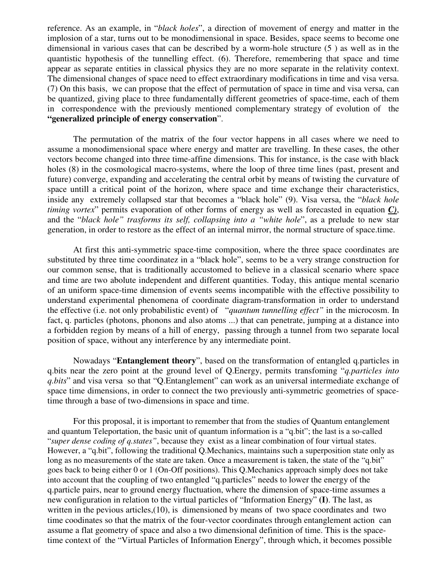reference. As an example, in "*black holes*", a direction of movement of energy and matter in the implosion of a star, turns out to be monodimensional in space. Besides, space seems to become one dimensional in various cases that can be described by a worm-hole structure (5 ) as well as in the quantistic hypothesis of the tunnelling effect. (6). Therefore, remembering that space and time appear as separate entities in classical physics they are no more separate in the relativity context. The dimensional changes of space need to effect extraordinary modifications in time and visa versa. (7) On this basis, we can propose that the effect of permutation of space in time and visa versa, can be quantized, giving place to three fundamentally different geometries of space-time, each of them in correspondence with the previously mentioned complementary strategy of evolution of the **"generalized principle of energy conservation**".

The permutation of the matrix of the four vector happens in all cases where we need to assume a monodimensional space where energy and matter are travelling. In these cases, the other vectors become changed into three time-affine dimensions. This for instance, is the case with black holes (8) in the cosmological macro-systems, where the loop of three time lines (past, present and future) converge, expanding and accelerating the central orbit by means of twisting the curvature of space untill a critical point of the horizon, where space and time exchange their characteristics, inside any extremely collapsed star that becomes a "black hole" (9). Visa versa, the "*black hole timing vortex*" permits evaporation of other forms of energy as well as forecasted in equation *C)*, and the "*black hole" trasforms its self, collapsing into a "white hole*", as a prelude to new star generation, in order to restore as the effect of an internal mirror, the normal structure of space.time.

At first this anti-symmetric space-time composition, where the three space coordinates are substituted by three time coordinatez in a "black hole", seems to be a very strange construction for our common sense, that is traditionally accustomed to believe in a classical scenario where space and time are two abolute independent and different quantities. Today, this antique mental scenario of an uniform space-time dimension of events seems incompatible with the effective possibility to understand experimental phenomena of coordinate diagram-transformation in order to understand the effective (i.e. not only probabilistic event) of "*quantum tunnelling effect"* in the microcosm. In fact, q. particles (photons, phonons and also atoms ...) that can penetrate, jumping at a distance into a forbidden region by means of a hill of energy, passing through a tunnel from two separate local position of space, without any interference by any intermediate point.

Nowadays "**Entanglement theory**", based on the transformation of entangled q.particles in q.bits near the zero point at the ground level of Q.Energy, permits transfoming "*q.particles into q.bits*" and visa versa so that "Q.Entanglement" can work as an universal intermediate exchange of space time dimensions, in order to connect the two previously anti-symmetric geometries of spacetime through a base of two-dimensions in space and time.

For this proposal, it is important to remember that from the studies of Quantum entanglement and quantum Teleportation, the basic unit of quantum information is a "q.bit"; the last is a so-called "*super dense coding of q.states"*, because they exist as a linear combination of four virtual states. However, a "q.bit", following the traditional Q.Mechanics, maintains such a superposition state only as long as no measurements of the state are taken. Once a measurement is taken, the state of the "q.bit" goes back to being either 0 or 1 (On-Off positions). This Q.Mechanics approach simply does not take into account that the coupling of two entangled "q.particles" needs to lower the energy of the q.particle pairs, near to ground energy fluctuation, where the dimension of space-time assumes a new configuration in relation to the virtual particles of "Information Energy" **(I)**. The last, as written in the pevious articles, (10), is dimensioned by means of two space coordinates and two time coodinates so that the matrix of the four-vector coordinates through entanglement action can assume a flat geometry of space and also a two dimensional definition of time. This is the spacetime context of the "Virtual Particles of Information Energy", through which, it becomes possible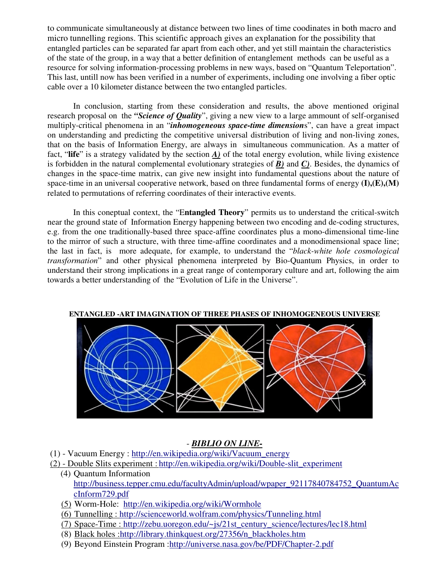to communicate simultaneously at distance between two lines of time coodinates in both macro and micro tunnelling regions. This scientific approach gives an explanation for the possibility that entangled particles can be separated far apart from each other, and yet still maintain the characteristics of the state of the group, in a way that a better definition of entanglement methods can be useful as a resource for solving information-processing problems in new ways, based on "Quantum Teleportation". This last, untill now has been verified in a number of experiments, including one involving a fiber optic cable over a 10 kilometer distance between the two entangled particles.

In conclusion, starting from these consideration and results, the above mentioned original research proposal on the *"Science of Quality*", giving a new view to a large ammount of self-organised multiply-critical phenomena in an "*inhomogeneous space-time dimension*s", can have a great impact on understanding and predicting the competitive universal distribution of living and non-living zones, that on the basis of Information Energy, are always in simultaneous communication. As a matter of fact, "**life**" is a strategy validated by the section *A)* of the total energy evolution, while living existence is forbidden in the natural complemental evolutionary strategies of *B)* and *C)*. Besides, the dynamics of changes in the space-time matrix, can give new insight into fundamental questions about the nature of space-time in an universal cooperative network, based on three fundamental forms of energy  $(I),(E),(M)$ related to permutations of referring coordinates of their interactive events.

In this coneptual context, the "E**ntangled Theory**" permits us to understand the critical-switch near the ground state of Information Energy happening between two encoding and de-coding structures, e.g. from the one traditionally-based three space-affine coordinates plus a mono-dimensional time-line to the mirror of such a structure, with three time-affine coordinates and a monodimensional space line; the last in fact, is more adequate, for example, to understand the "*black-white hole cosmological transformation*" and other physical phenomena interpreted by Bio-Quantum Physics, in order to understand their strong implications in a great range of contemporary culture and art, following the aim towards a better understanding of the "Evolution of Life in the Universe".



**ENTANGLED -ART IMAGINATION OF THREE PHASES OF INHOMOGENEOUS UNIVERSE**

## - *BIBLIO ON LINE-*

- (1) Vacuum Energy : [http://en.wikipedia.org/wiki/Vacuum\\_energy](http://en.wikipedia.org/wiki/Vacuum_energy)
- (2) Double Slits experiment : [http://en.wikipedia.org/wiki/Double-slit\\_experiment](http://en.wikipedia.org/wiki/Double-slit_experiment)
	- (4) Quantum Information [http://business.tepper.cmu.edu/facultyAdmin/upload/wpaper\\_92117840784752\\_QuantumAc](http://business.tepper.cmu.edu/facultyAdmin/upload/wpaper_92117840784752_QuantumAc) cInform729.pdf
	- (5) Worm-Hole: <http://en.wikipedia.org/wiki/Wormhole>
	- (6) Tunnelling :<http://scienceworld.wolfram.com/physics/Tunneling.html>
	- (7) Space-Time : [http://zebu.uoregon.edu/~js/21st\\_century\\_science/lectures/lec18.html](http://zebu.uoregon.edu/~js/21st_century_science/lectures/lec18.html)
	- (8) Black holes [:http://library.thinkquest.org/27356/n\\_blackholes.htm](http://library.thinkquest.org/27356/n_blackholes.htm)
	- (9) Beyond Einstein Program [:http://universe.nasa.gov/be/PDF/Chapter-2.pdf](http://universe.nasa.gov/be/PDF/Chapter-2.pdf)